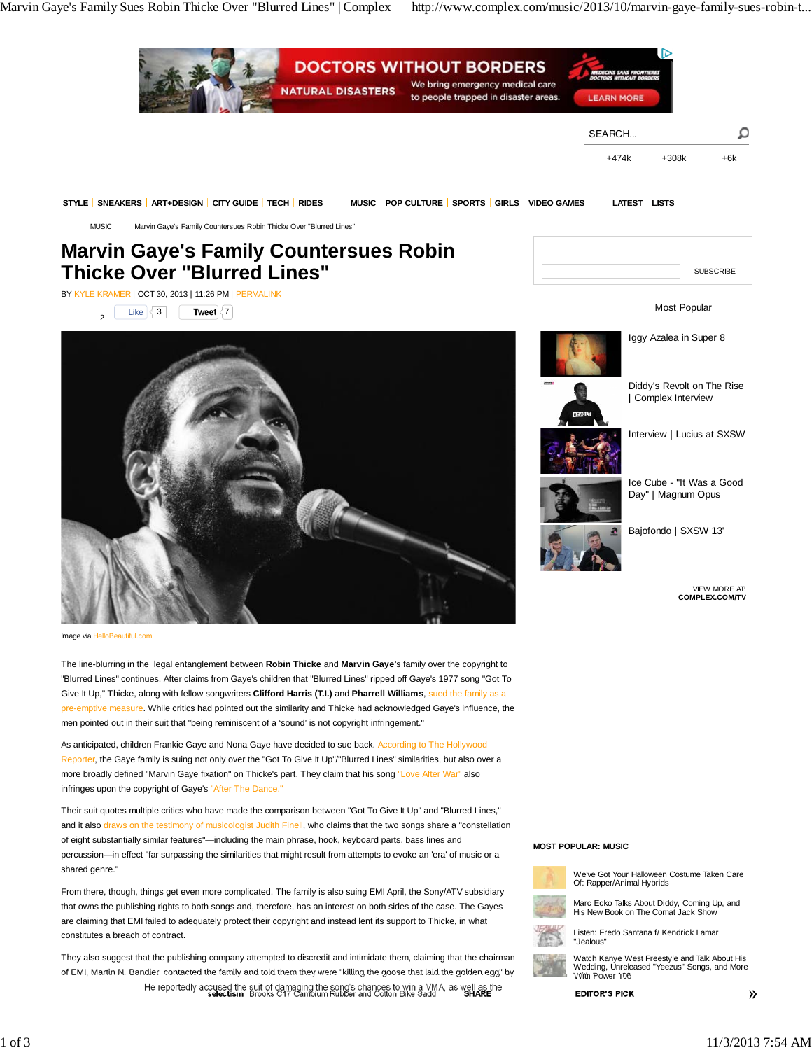Marvin Gaye's Family Sues Robin Thicke Over "Blurred Lines" | Complex http://www.complex.com/music/2013/10/marvin-gaye-family-sues-robin-t...



of eight substantially similar features"—including the main phrase, hook, keyboard parts, bass lines and percussion—in effect "far surpassing the similarities that might result from attempts to evoke an 'era' of music or a shared genre."

From there, though, things get even more complicated. The family is also suing EMI April, the Sony/ATV subsidiary that owns the publishing rights to both songs and, therefore, has an interest on both sides of the case. The Gayes are claiming that EMI failed to adequately protect their copyright and instead lent its support to Thicke, in what constitutes a breach of contract.

They also suggest that the publishing company attempted to discredit and intimidate them, claiming that the chairman of EMI, Martin N. Bandier, contacted the family and told them they were "killing the goose that laid the golden egg" by He reportedly accused the suit of damaging the song's chances to win a VMA, as well as the selection Brooks C17 Cambium Rubber and Cotton Bike Sadd SHARE

## **MOST POPULAR: MUSIC**





Listen: Fredo Santana f/ Kendrick Lamar "Jealous"



Watch Kanye West Freestyle and Talk About His Wedding, Unreleased "Yeezus" Songs, and More With Power 106



 $\mathcal{Y}$